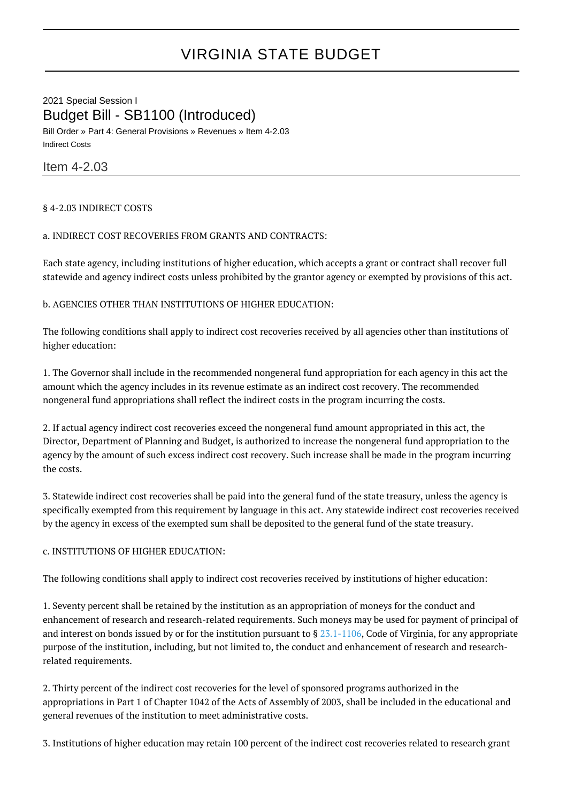# VIRGINIA STATE BUDGET

2021 Special Session I Budget Bill - SB1100 (Introduced) Bill Order » Part 4: General Provisions » Revenues » Item 4-2.03 Indirect Costs

Item 4-2.03

§ 4-2.03 INDIRECT COSTS

### a. INDIRECT COST RECOVERIES FROM GRANTS AND CONTRACTS:

Each state agency, including institutions of higher education, which accepts a grant or contract shall recover full statewide and agency indirect costs unless prohibited by the grantor agency or exempted by provisions of this act.

b. AGENCIES OTHER THAN INSTITUTIONS OF HIGHER EDUCATION:

The following conditions shall apply to indirect cost recoveries received by all agencies other than institutions of higher education:

1. The Governor shall include in the recommended nongeneral fund appropriation for each agency in this act the amount which the agency includes in its revenue estimate as an indirect cost recovery. The recommended nongeneral fund appropriations shall reflect the indirect costs in the program incurring the costs.

2. If actual agency indirect cost recoveries exceed the nongeneral fund amount appropriated in this act, the Director, Department of Planning and Budget, is authorized to increase the nongeneral fund appropriation to the agency by the amount of such excess indirect cost recovery. Such increase shall be made in the program incurring the costs.

3. Statewide indirect cost recoveries shall be paid into the general fund of the state treasury, unless the agency is specifically exempted from this requirement by language in this act. Any statewide indirect cost recoveries received by the agency in excess of the exempted sum shall be deposited to the general fund of the state treasury.

# c. INSTITUTIONS OF HIGHER EDUCATION:

The following conditions shall apply to indirect cost recoveries received by institutions of higher education:

1. Seventy percent shall be retained by the institution as an appropriation of moneys for the conduct and enhancement of research and research-related requirements. Such moneys may be used for payment of principal of and interest on bonds issued by or for the institution pursuant to  $\S 23.1-1106$  $\S 23.1-1106$ , Code of Virginia, for any appropriate purpose of the institution, including, but not limited to, the conduct and enhancement of research and researchrelated requirements.

2. Thirty percent of the indirect cost recoveries for the level of sponsored programs authorized in the appropriations in Part 1 of Chapter 1042 of the Acts of Assembly of 2003, shall be included in the educational and general revenues of the institution to meet administrative costs.

3. Institutions of higher education may retain 100 percent of the indirect cost recoveries related to research grant